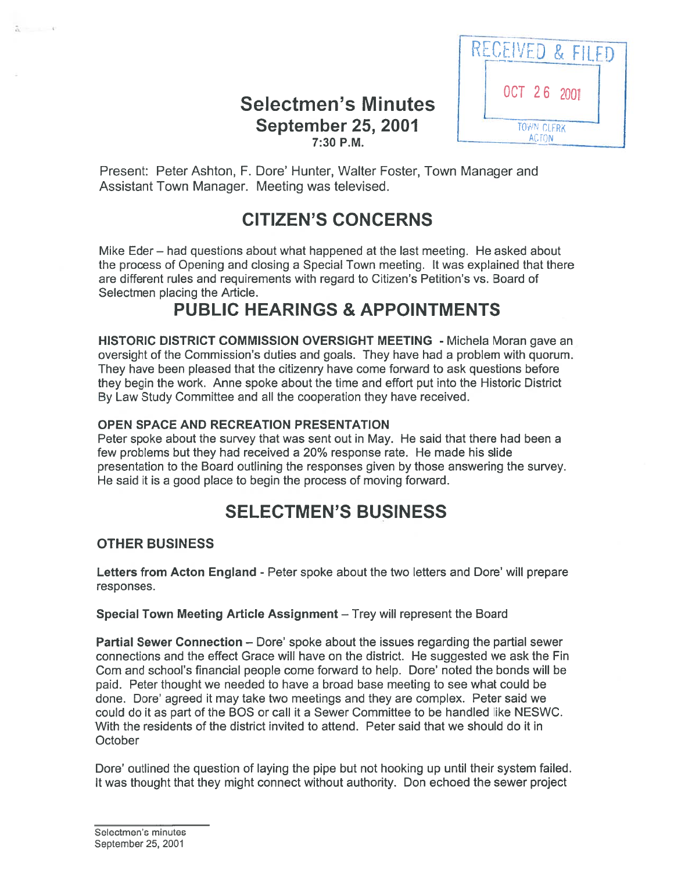### Selectmen's Minutes September 25, 2001 **7:30 P.M.** ACTON



Present: Peter Ashton, F. Dore' Hunter, Walter Foster, Town Manager and Assistant Town Manager. Meeting was televised.

# CITIZEN'S CONCERNS

Mike Eder — had questions about what happened at the last meeting. He asked about the process of Opening and closing <sup>a</sup> Special Town meeting. It was explained that there are different rules and requirements with regard to Citizen's Petition's vs. Board of Selectmen placing the Article.

## PUBLIC HEARINGS & APPOINTMENTS

HISTORIC DISTRICT COMMISSION OVERSIGHT MEETING - Michela Moran gave an oversight of the Commission's duties and goals. They have had <sup>a</sup> problem with quorum. They have been pleased that the citizenry have come forward to ask questions before they begin the work. Anne spoke about the time and effort pu<sup>t</sup> into the Historic District By Law Study Committee and all the cooperation they have received.

#### OPEN SPACE AND RECREATION PRESENTATION

Peter spoke about the survey that was sent out in May. He said that there had been <sup>a</sup> few problems but they had received <sup>a</sup> 20% response rate. He made his slide presentation to the Board outlining the responses given by those answering the survey. He said it is <sup>a</sup> good place to begin the process of moving forward.

# SELECTMEN'S BUSINESS

#### OTHER BUSINESS

 $\frac{1}{6}$   $\frac{1}{4}$ 

Letters from Acton England - Peter spoke about the two letters and Dore' will prepare responses.

Special Town Meeting Article Assignment — Trey will represen<sup>t</sup> the Board

Partial Sewer Connection — Dore' spoke about the issues regarding the partial sewer connections and the effect Grace will have on the district. He suggested we ask the Fin Com and school's financial people come forward to help. Dore' noted the bonds will be paid. Peter thought we needed to have <sup>a</sup> broad base meeting to see what could be done. Dore' agreed it may take two meetings and they are complex. Peter said we could do it as par<sup>t</sup> of the BOS or call it <sup>a</sup> Sewer Committee to be handled like NESWC. With the residents of the district invited to attend. Peter said that we should do it in **October** 

Dore' outlined the question of laying the pipe but not hooking up until their system failed. It was thought that they might connect without authority. Don echoed the sewer project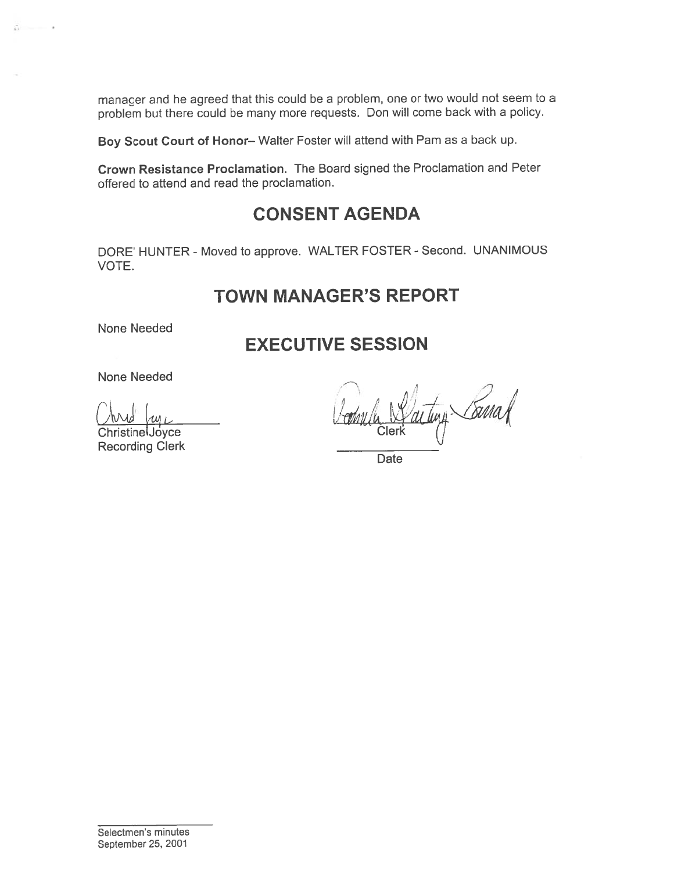manager and he agree<sup>d</sup> that this could be <sup>a</sup> problem, one or two would not seem to <sup>a</sup> problem but there could be many more requests. Don will come back with <sup>a</sup> policy.

Boy Scout Court of Honor— Walter Foster will attend with Pam as <sup>a</sup> back up.

Crown Resistance Proclamation. The Board signed the Proclamation and Peter offered to attend and read the proclamation.

## CONSENT AGENDA

DORE' HUNTER - Moved to approve. WALTER FOSTER - Second. UNANIMOUS VOTE.

### TOWN MANAGER'S REPORT

None Needed

 $\ddot{\circ}$   $\cdots$ 

## EXECUTIVE SESSION

None Needed

Recording Clerk

-7 And ly community Community acting Carna

**Date** 

Selectmen's minutes September 25, 2001